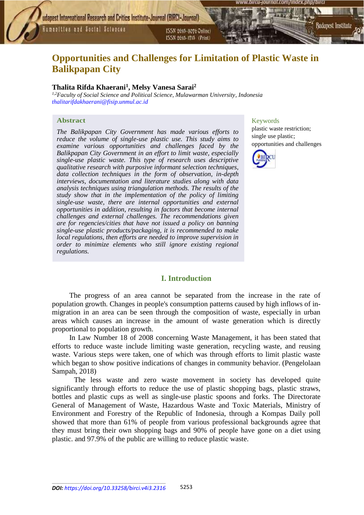Humanities and Social Sciences

ISSN 2015-3070 Online) ISSN 2615-1715 (Print)

# **Opportunities and Challenges for Limitation of Plastic Waste in Balikpapan City**

## **Thalita Rifda Khaerani<sup>1</sup> , Melsy Vanesa Sarai<sup>2</sup>**

*1,2Faculty of Social Science and Political Science, Mulawarman University, Indonesia [thalitarifdakhaerani@fisip.unmul.ac.id](mailto:thalitarifdakhaerani@fisip.unmul.ac.id)*

#### **Abstract**

*The Balikpapan City Government has made various efforts to reduce the volume of single-use plastic use. This study aims to examine various opportunities and challenges faced by the Balikpapan City Government in an effort to limit waste, especially single-use plastic waste. This type of research uses descriptive qualitative research with purposive informant selection techniques, data collection techniques in the form of observation, in-depth interviews, documentation and literature studies along with data analysis techniques using triangulation methods. The results of the study show that in the implementation of the policy of limiting single-use waste, there are internal opportunities and external opportunities in addition, resulting in factors that become internal challenges and external challenges. The recommendations given are for regencies/cities that have not issued a policy on banning single-use plastic products/packaging, it is recommended to make local regulations, then efforts are needed to improve supervision in order to minimize elements who still ignore existing regional regulations.*

## Keywords

plastic waste restriction; single use plastic; opportunities and challenges

Budapest Institute



## **I. Introduction**

The progress of an area cannot be separated from the increase in the rate of population growth. Changes in people's consumption patterns caused by high inflows of inmigration in an area can be seen through the composition of waste, especially in urban areas which causes an increase in the amount of waste generation which is directly proportional to population growth.

In Law Number 18 of 2008 concerning Waste Management, it has been stated that efforts to reduce waste include limiting waste generation, recycling waste, and reusing waste. Various steps were taken, one of which was through efforts to limit plastic waste which began to show positive indications of changes in community behavior. (Pengelolaan Sampah, 2018)

The less waste and zero waste movement in society has developed quite significantly through efforts to reduce the use of plastic shopping bags, plastic straws, bottles and plastic cups as well as single-use plastic spoons and forks. The Directorate General of Management of Waste, Hazardous Waste and Toxic Materials, Ministry of Environment and Forestry of the Republic of Indonesia, through a Kompas Daily poll showed that more than 61% of people from various professional backgrounds agree that they must bring their own shopping bags and 90% of people have gone on a diet using plastic. and 97.9% of the public are willing to reduce plastic waste.

\_\_\_\_\_\_\_\_\_\_\_\_\_\_\_\_\_\_\_\_\_\_\_\_\_\_\_\_\_\_\_\_\_\_\_\_\_\_\_\_\_\_\_\_\_\_\_\_\_\_\_\_\_\_\_\_\_\_\_\_\_\_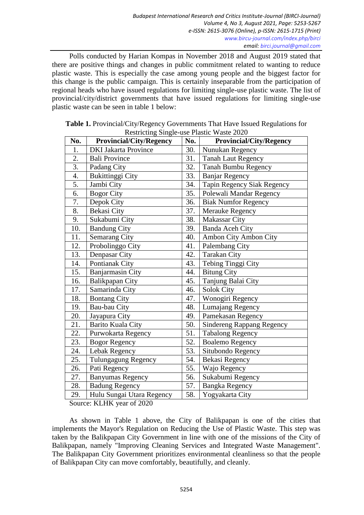Polls conducted by Harian Kompas in November 2018 and August 2019 stated that there are positive things and changes in public commitment related to wanting to reduce plastic waste. This is especially the case among young people and the biggest factor for this change is the public campaign. This is certainly inseparable from the participation of regional heads who have issued regulations for limiting single-use plastic waste. The list of provincial/city/district governments that have issued regulations for limiting single-use plastic waste can be seen in table 1 below:

| No.              | $\sim$ $\sim$ $\sim$<br><b>Provincial/City/Regency</b> | No. | <b>Provincial/City/Regency</b>   |
|------------------|--------------------------------------------------------|-----|----------------------------------|
| 1.               | <b>DKI Jakarta Province</b>                            | 30. | Nunukan Regency                  |
| 2.               | <b>Bali Province</b>                                   | 31. | <b>Tanah Laut Regency</b>        |
| $\overline{3}$ . | Padang City                                            | 32. | <b>Tanah Bumbu Regency</b>       |
| 4.               | <b>Bukittinggi City</b>                                | 33. | <b>Banjar Regency</b>            |
| 5.               | Jambi City                                             | 34. | Tapin Regency Siak Regency       |
| 6.               | <b>Bogor City</b>                                      | 35. | Polewali Mandar Regency          |
| 7.               | Depok City                                             | 36. | <b>Biak Numfor Regency</b>       |
| 8.               | Bekasi City                                            | 37. | <b>Merauke Regency</b>           |
| 9.               | Sukabumi City                                          | 38. | <b>Makassar City</b>             |
| 10.              | <b>Bandung City</b>                                    | 39. | <b>Banda Aceh City</b>           |
| 11.              | <b>Semarang City</b>                                   | 40. | Ambon City Ambon City            |
| 12.              | Probolinggo City                                       | 41. | Palembang City                   |
| 13.              | Denpasar City                                          | 42. | <b>Tarakan City</b>              |
| 14.              | Pontianak City                                         | 43. | Tebing Tinggi City               |
| 15.              | <b>Banjarmasin City</b>                                | 44. | <b>Bitung City</b>               |
| 16.              | Balikpapan City                                        | 45. | Tanjung Balai City               |
| 17.              | Samarinda City                                         | 46. | <b>Solok City</b>                |
| 18.              | <b>Bontang City</b>                                    | 47. | Wonogiri Regency                 |
| 19.              | Bau-bau City                                           | 48. | Lumajang Regency                 |
| 20.              | Jayapura City                                          | 49. | Pamekasan Regency                |
| 21.              | Barito Kuala City                                      | 50. | <b>Sindereng Rappang Regency</b> |
| 22.              | Purwokarta Regency                                     | 51. | <b>Tabalong Regency</b>          |
| 23.              | <b>Bogor Regency</b>                                   | 52. | <b>Boalemo Regency</b>           |
| 24.              | Lebak Regency                                          | 53. | Situbondo Regency                |
| 25.              | Tulungagung Regency                                    | 54. | Bekasi Regency                   |
| 26.              | Pati Regency                                           | 55. | Wajo Regency                     |
| 27.              | <b>Banyumas Regency</b>                                | 56. | Sukabumi Regency                 |
| 28.              | <b>Badung Regency</b>                                  | 57. | Bangka Regency                   |
| 29.              | Hulu Sungai Utara Regency                              | 58. | Yogyakarta City                  |

**Table 1.** Provincial/City/Regency Governments That Have Issued Regulations for Restricting Single-use Plastic Waste 2020

Source: KLHK year of 2020

As shown in Table 1 above, the City of Balikpapan is one of the cities that implements the Mayor's Regulation on Reducing the Use of Plastic Waste. This step was taken by the Balikpapan City Government in line with one of the missions of the City of Balikpapan, namely "Improving Cleaning Services and Integrated Waste Management". The Balikpapan City Government prioritizes environmental cleanliness so that the people of Balikpapan City can move comfortably, beautifully, and cleanly.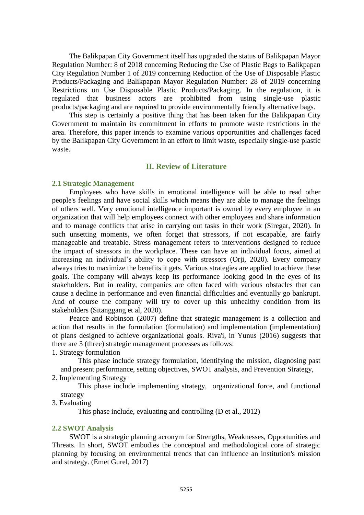The Balikpapan City Government itself has upgraded the status of Balikpapan Mayor Regulation Number: 8 of 2018 concerning Reducing the Use of Plastic Bags to Balikpapan City Regulation Number 1 of 2019 concerning Reduction of the Use of Disposable Plastic Products/Packaging and Balikpapan Mayor Regulation Number: 28 of 2019 concerning Restrictions on Use Disposable Plastic Products/Packaging. In the regulation, it is regulated that business actors are prohibited from using single-use plastic products/packaging and are required to provide environmentally friendly alternative bags.

This step is certainly a positive thing that has been taken for the Balikpapan City Government to maintain its commitment in efforts to promote waste restrictions in the area. Therefore, this paper intends to examine various opportunities and challenges faced by the Balikpapan City Government in an effort to limit waste, especially single-use plastic waste.

#### **II. Review of Literature**

#### **2.1 Strategic Management**

Employees who have skills in emotional intelligence will be able to read other people's feelings and have social skills which means they are able to manage the feelings of others well. Very emotional intelligence important is owned by every employee in an organization that will help employees connect with other employees and share information and to manage conflicts that arise in carrying out tasks in their work (Siregar, 2020). In such unsetting moments, we often forget that stressors, if not escapable, are fairly manageable and treatable. Stress management refers to interventions designed to reduce the impact of stressors in the workplace. These can have an individual focus, aimed at increasing an individual's ability to cope with stressors (Orji, 2020). Every company always tries to maximize the benefits it gets. Various strategies are applied to achieve these goals. The company will always keep its performance looking good in the eyes of its stakeholders. But in reality, companies are often faced with various obstacles that can cause a decline in performance and even financial difficulties and eventually go bankrupt. And of course the company will try to cover up this unhealthy condition from its stakeholders (Sitanggang et al, 2020).

Pearce and Robinson (2007) define that strategic management is a collection and action that results in the formulation (formulation) and implementation (implementation) of plans designed to achieve organizational goals. Riva'i, in Yunus (2016) suggests that there are 3 (three) strategic management processes as follows:

1. Strategy formulation

This phase include strategy formulation, identifying the mission, diagnosing past and present performance, setting objectives, SWOT analysis, and Prevention Strategy,

## 2. Implementing Strategy

This phase include implementing strategy, organizational force, and functional strategy

3. Evaluating

This phase include, evaluating and controlling (D et al., 2012)

#### **2.2 SWOT Analysis**

SWOT is a strategic planning acronym for Strengths, Weaknesses, Opportunities and Threats. In short, SWOT embodies the conceptual and methodological core of strategic planning by focusing on environmental trends that can influence an institution's mission and strategy. (Emet Gurel, 2017)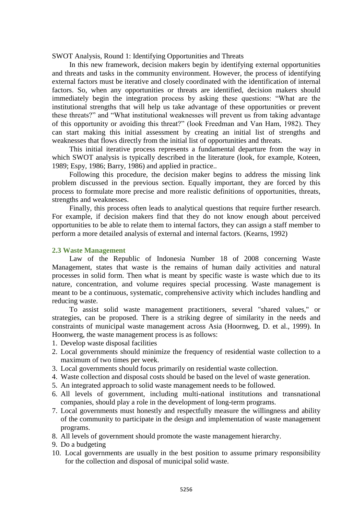SWOT Analysis, Round 1: Identifying Opportunities and Threats

In this new framework, decision makers begin by identifying external opportunities and threats and tasks in the community environment. However, the process of identifying external factors must be iterative and closely coordinated with the identification of internal factors. So, when any opportunities or threats are identified, decision makers should immediately begin the integration process by asking these questions: "What are the institutional strengths that will help us take advantage of these opportunities or prevent these threats?" and "What institutional weaknesses will prevent us from taking advantage of this opportunity or avoiding this threat?" (look Freedman and Van Ham, 1982). They can start making this initial assessment by creating an initial list of strengths and weaknesses that flows directly from the initial list of opportunities and threats.

This initial iterative process represents a fundamental departure from the way in which SWOT analysis is typically described in the literature (look, for example, Koteen, 1989; Espy, 1986; Barry, 1986) and applied in practice..

Following this procedure, the decision maker begins to address the missing link problem discussed in the previous section. Equally important, they are forced by this process to formulate more precise and more realistic definitions of opportunities, threats, strengths and weaknesses.

Finally, this process often leads to analytical questions that require further research. For example, if decision makers find that they do not know enough about perceived opportunities to be able to relate them to internal factors, they can assign a staff member to perform a more detailed analysis of external and internal factors. (Kearns, 1992)

#### **2.3 Waste Management**

Law of the Republic of Indonesia Number 18 of 2008 concerning Waste Management, states that waste is the remains of human daily activities and natural processes in solid form. Then what is meant by specific waste is waste which due to its nature, concentration, and volume requires special processing. Waste management is meant to be a continuous, systematic, comprehensive activity which includes handling and reducing waste.

To assist solid waste management practitioners, several "shared values," or strategies, can be proposed. There is a striking degree of similarity in the needs and constraints of municipal waste management across Asia (Hoornweg, D. et al., 1999). In Hoonwerg, the waste management process is as follows:

- 1. Develop waste disposal facilities
- 2. Local governments should minimize the frequency of residential waste collection to a maximum of two times per week.
- 3. Local governments should focus primarily on residential waste collection.
- 4. Waste collection and disposal costs should be based on the level of waste generation.
- 5. An integrated approach to solid waste management needs to be followed.
- 6. All levels of government, including multi-national institutions and transnational companies, should play a role in the development of long-term programs.
- 7. Local governments must honestly and respectfully measure the willingness and ability of the community to participate in the design and implementation of waste management programs.
- 8. All levels of government should promote the waste management hierarchy.
- 9. Do a budgeting
- 10. Local governments are usually in the best position to assume primary responsibility for the collection and disposal of municipal solid waste.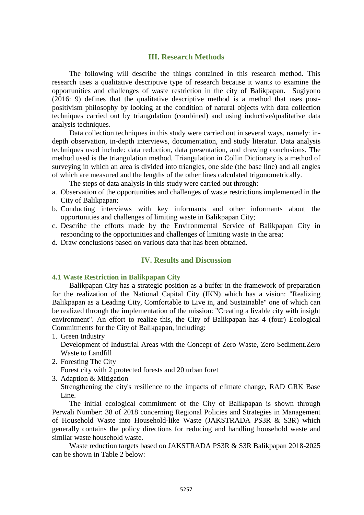## **III. Research Methods**

The following will describe the things contained in this research method. This research uses a qualitative descriptive type of research because it wants to examine the opportunities and challenges of waste restriction in the city of Balikpapan. Sugiyono (2016: 9) defines that the qualitative descriptive method is a method that uses postpositivism philosophy by looking at the condition of natural objects with data collection techniques carried out by triangulation (combined) and using inductive/qualitative data analysis techniques.

Data collection techniques in this study were carried out in several ways, namely: indepth observation, in-depth interviews, documentation, and study literatur. Data analysis techniques used include: data reduction, data presentation, and drawing conclusions. The method used is the triangulation method. Triangulation in Collin Dictionary is a method of surveying in which an area is divided into triangles, one side (the base line) and all angles of which are measured and the lengths of the other lines calculated trigonometrically.

The steps of data analysis in this study were carried out through:

- a. Observation of the opportunities and challenges of waste restrictions implemented in the City of Balikpapan;
- b. Conducting interviews with key informants and other informants about the opportunities and challenges of limiting waste in Balikpapan City;
- c. Describe the efforts made by the Environmental Service of Balikpapan City in responding to the opportunities and challenges of limiting waste in the area;
- d. Draw conclusions based on various data that has been obtained.

## **IV. Results and Discussion**

#### **4.1 Waste Restriction in Balikpapan City**

Balikpapan City has a strategic position as a buffer in the framework of preparation for the realization of the National Capital City (IKN) which has a vision: "Realizing Balikpapan as a Leading City, Comfortable to Live in, and Sustainable" one of which can be realized through the implementation of the mission: "Creating a livable city with insight environment". An effort to realize this, the City of Balikpapan has 4 (four) Ecological Commitments for the City of Balikpapan, including:

1. Green Industry

Development of Industrial Areas with the Concept of Zero Waste, Zero Sediment.Zero Waste to Landfill

2. Foresting The City

Forest city with 2 protected forests and 20 urban foret

3. Adaption & Mitigation

Strengthening the city's resilience to the impacts of climate change, RAD GRK Base Line.

The initial ecological commitment of the City of Balikpapan is shown through Perwali Number: 38 of 2018 concerning Regional Policies and Strategies in Management of Household Waste into Household-like Waste (JAKSTRADA PS3R & S3R) which generally contains the policy directions for reducing and handling household waste and similar waste household waste.

Waste reduction targets based on JAKSTRADA PS3R & S3R Balikpapan 2018-2025 can be shown in Table 2 below: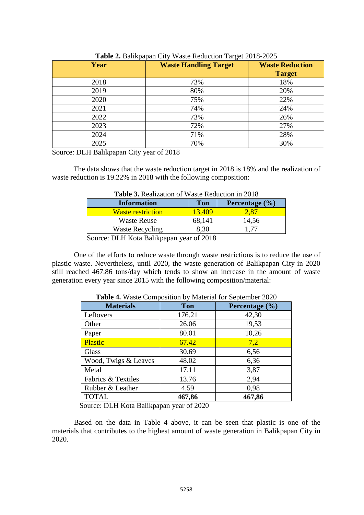| $=$ $\cdots$ $=$ $\cdots$ $\cdots$ $\cdots$ $\cdots$<br>$\frac{1}{2}$ |                              |                                         |  |  |  |
|-----------------------------------------------------------------------|------------------------------|-----------------------------------------|--|--|--|
| Year                                                                  | <b>Waste Handling Target</b> | <b>Waste Reduction</b><br><b>Target</b> |  |  |  |
| 2018                                                                  | 73%                          | 18%                                     |  |  |  |
| 2019                                                                  | 80%                          | 20%                                     |  |  |  |
| 2020                                                                  | 75%                          | 22%                                     |  |  |  |
| 2021                                                                  | 74%                          | 24%                                     |  |  |  |
| 2022                                                                  | 73%                          | 26%                                     |  |  |  |
| 2023                                                                  | 72%                          | 27%                                     |  |  |  |
| 2024                                                                  | 71%                          | 28%                                     |  |  |  |
| 2025                                                                  | 70%                          | 30%                                     |  |  |  |

**Table 2.** Balikpapan City Waste Reduction Target 2018-2025

Source: DLH Balikpapan City year of 2018

The data shows that the waste reduction target in 2018 is 18% and the realization of waste reduction is 19.22% in 2018 with the following composition:

|        | <b>Table 3.</b> Nealization of waste Neutrition in 2016          |        |                |  |  |
|--------|------------------------------------------------------------------|--------|----------------|--|--|
|        | <b>Information</b>                                               | Ton    | Percentage (%) |  |  |
|        | <b>Waste restriction</b>                                         | 13,409 | $-28T$         |  |  |
|        | Waste Reuse                                                      | 68.141 | 14,56          |  |  |
|        | <b>Waste Recycling</b>                                           | 8.30   |                |  |  |
| $\sim$ | $\mathbf{r}$ is the state $\mathbf{r}$ in the state $\mathbf{r}$ | 0.010  |                |  |  |

**Table 3.** Realization of Waste Reduction in 2018

Source: DLH Kota Balikpapan year of 2018

One of the efforts to reduce waste through waste restrictions is to reduce the use of plastic waste. Nevertheless, until 2020, the waste generation of Balikpapan City in 2020 still reached 467.86 tons/day which tends to show an increase in the amount of waste generation every year since 2015 with the following composition/material:

| <b>Materials</b>              | $\ldots$ where $\sim$ $\ldots$ $\sim$ $\sim$ $\ldots$ $\sim$ $\ldots$<br><b>Ton</b> | $-1$<br>Percentage (%) |
|-------------------------------|-------------------------------------------------------------------------------------|------------------------|
| Leftovers                     | 176.21                                                                              | 42,30                  |
| Other                         | 26.06                                                                               | 19,53                  |
| Paper                         | 80.01                                                                               | 10,26                  |
| Plastic                       | 67.42                                                                               | 7,2                    |
| Glass                         | 30.69                                                                               | 6,56                   |
| Wood, Twigs & Leaves          | 48.02                                                                               | 6,36                   |
| Metal                         | 17.11                                                                               | 3,87                   |
| <b>Fabrics &amp; Textiles</b> | 13.76                                                                               | 2,94                   |
| Rubber & Leather              | 4.59                                                                                | 0,98                   |
| <b>TOTAL</b>                  | 467,86                                                                              | 467,86                 |

**Table 4.** Waste Composition by Material for September 2020

Source: DLH Kota Balikpapan year of 2020

Based on the data in Table 4 above, it can be seen that plastic is one of the materials that contributes to the highest amount of waste generation in Balikpapan City in 2020.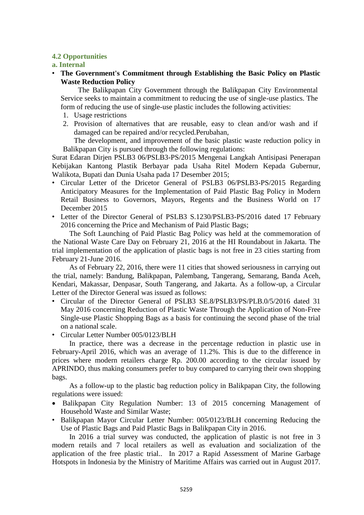## **4.2 Opportunities**

## **a. Internal**

• **The Government's Commitment through Establishing the Basic Policy on Plastic Waste Reduction Policy**

The Balikpapan City Government through the Balikpapan City Environmental Service seeks to maintain a commitment to reducing the use of single-use plastics. The form of reducing the use of single-use plastic includes the following activities:

- 1. Usage restrictions
- 2. Provision of alternatives that are reusable, easy to clean and/or wash and if damaged can be repaired and/or recycled.Perubahan,

The development, and improvement of the basic plastic waste reduction policy in Balikpapan City is pursued through the following regulations:

Surat Edaran Dirjen PSLB3 06/PSLB3-PS/2015 Mengenai Langkah Antisipasi Penerapan Kebijakan Kantong Plastik Berbayar pada Usaha Ritel Modern Kepada Gubernur, Walikota, Bupati dan Dunia Usaha pada 17 Desember 2015;

- Circular Letter of the Dricetor General of PSLB3 06/PSLB3-PS/2015 Regarding Anticipatory Measures for the Implementation of Paid Plastic Bag Policy in Modern Retail Business to Governors, Mayors, Regents and the Business World on 17 December 2015
- Letter of the Director General of PSLB3 S.1230/PSLB3-PS/2016 dated 17 February 2016 concerning the Price and Mechanism of Paid Plastic Bags;

The Soft Launching of Paid Plastic Bag Policy was held at the commemoration of the National Waste Care Day on February 21, 2016 at the HI Roundabout in Jakarta. The trial implementation of the application of plastic bags is not free in 23 cities starting from February 21-June 2016.

As of February 22, 2016, there were 11 cities that showed seriousness in carrying out the trial, namely: Bandung, Balikpapan, Palembang, Tangerang, Semarang, Banda Aceh, Kendari, Makassar, Denpasar, South Tangerang, and Jakarta. As a follow-up, a Circular Letter of the Director General was issued as follows:

- Circular of the Director General of PSLB3 SE.8/PSLB3/PS/PLB.0/5/2016 dated 31 May 2016 concerning Reduction of Plastic Waste Through the Application of Non-Free Single-use Plastic Shopping Bags as a basis for continuing the second phase of the trial on a national scale.
- Circular Letter Number 005/0123/BLH

In practice, there was a decrease in the percentage reduction in plastic use in February-April 2016, which was an average of 11.2%. This is due to the difference in prices where modern retailers charge Rp. 200.00 according to the circular issued by APRINDO, thus making consumers prefer to buy compared to carrying their own shopping bags.

As a follow-up to the plastic bag reduction policy in Balikpapan City, the following regulations were issued:

- Balikpapan City Regulation Number: 13 of 2015 concerning Management of Household Waste and Similar Waste;
- Balikpapan Mayor Circular Letter Number: 005/0123/BLH concerning Reducing the Use of Plastic Bags and Paid Plastic Bags in Balikpapan City in 2016.

In 2016 a trial survey was conducted, the application of plastic is not free in 3 modern retails and 7 local retailers as well as evaluation and socialization of the application of the free plastic trial.. In 2017 a Rapid Assessment of Marine Garbage Hotspots in Indonesia by the Ministry of Maritime Affairs was carried out in August 2017.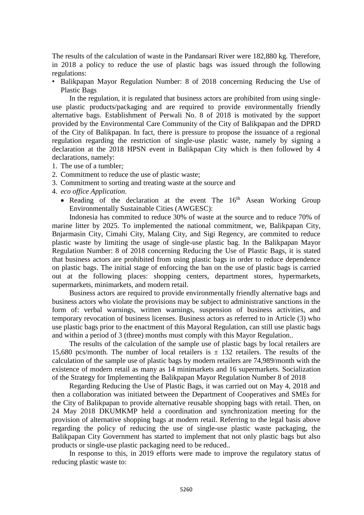The results of the calculation of waste in the Pandansari River were 182,880 kg. Therefore, in 2018 a policy to reduce the use of plastic bags was issued through the following regulations:

• Balikpapan Mayor Regulation Number: 8 of 2018 concerning Reducing the Use of Plastic Bags

In the regulation, it is regulated that business actors are prohibited from using singleuse plastic products/packaging and are required to provide environmentally friendly alternative bags. Establishment of Perwali No. 8 of 2018 is motivated by the support provided by the Environmental Care Community of the City of Balikpapan and the DPRD of the City of Balikpapan. In fact, there is pressure to propose the issuance of a regional regulation regarding the restriction of single-use plastic waste, namely by signing a declaration at the 2018 HPSN event in Balikpapan City which is then followed by 4 declarations, namely:

- 1. The use of a tumbler*;*
- 2. Commitment to reduce the use of plastic waste;
- 3. Commitment to sorting and treating waste at the source and
- 4. *eco office Application*.
	- Reading of the declaration at the event The  $16<sup>th</sup>$  Asean Working Group Environmentally Sustainable Cities (AWGESC):

Indonesia has commited to reduce 30% of waste at the source and to reduce 70% of marine litter by 2025. To implemented the national commitment, we, Balikpapan City, Bnjarmasin City, Cimahi City, Malang City, and Sigi Regency, are commited to reduce plastic waste by limiting the usage of single-use plastic bag. In the Balikpapan Mayor Regulation Number: 8 of 2018 concerning Reducing the Use of Plastic Bags, it is stated that business actors are prohibited from using plastic bags in order to reduce dependence on plastic bags. The initial stage of enforcing the ban on the use of plastic bags is carried out at the following places: shopping centers, department stores, hypermarkets, supermarkets, minimarkets, and modern retail.

Business actors are required to provide environmentally friendly alternative bags and business actors who violate the provisions may be subject to administrative sanctions in the form of: verbal warnings, written warnings, suspension of business activities, and temporary revocation of business licenses. Business actors as referred to in Article (3) who use plastic bags prior to the enactment of this Mayoral Regulation, can still use plastic bags and within a period of 3 (three) months must comply with this Mayor Regulation..

The results of the calculation of the sample use of plastic bags by local retailers are 15,680 pcs/month. The number of local retailers is  $\pm$  132 retailers. The results of the calculation of the sample use of plastic bags by modern retailers are 74,989/month with the existence of modern retail as many as 14 minimarkets and 16 supermarkets. Socialization of the Strategy for Implementing the Balikpapan Mayor Regulation Number 8 of 2018

Regarding Reducing the Use of Plastic Bags, it was carried out on May 4, 2018 and then a collaboration was initiated between the Department of Cooperatives and SMEs for the City of Balikpapan to provide alternative reusable shopping bags with retail. Then, on 24 May 2018 DKUMKMP held a coordination and synchronization meeting for the provision of alternative shopping bags at modern retail. Referring to the legal basis above regarding the policy of reducing the use of single-use plastic waste packaging, the Balikpapan City Government has started to implement that not only plastic bags but also products or single-use plastic packaging need to be reduced..

In response to this, in 2019 efforts were made to improve the regulatory status of reducing plastic waste to: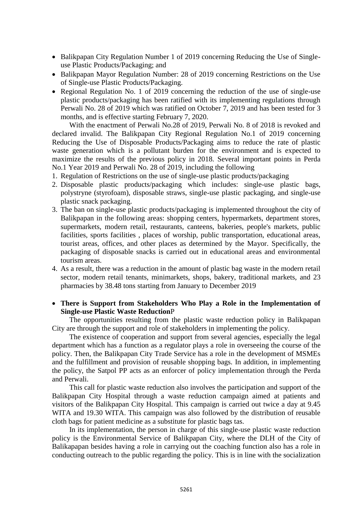- Balikpapan City Regulation Number 1 of 2019 concerning Reducing the Use of Singleuse Plastic Products/Packaging; and
- Balikpapan Mayor Regulation Number: 28 of 2019 concerning Restrictions on the Use of Single-use Plastic Products/Packaging.
- Regional Regulation No. 1 of 2019 concerning the reduction of the use of single-use plastic products/packaging has been ratified with its implementing regulations through Perwali No. 28 of 2019 which was ratified on October 7, 2019 and has been tested for 3 months, and is effective starting February 7, 2020.

With the enactment of Perwali No.28 of 2019, Perwali No. 8 of 2018 is revoked and declared invalid. The Balikpapan City Regional Regulation No.1 of 2019 concerning Reducing the Use of Disposable Products/Packaging aims to reduce the rate of plastic waste generation which is a pollutant burden for the environment and is expected to maximize the results of the previous policy in 2018. Several important points in Perda No.1 Year 2019 and Perwali No. 28 of 2019, including the following

- 1. Regulation of Restrictions on the use of single-use plastic products/packaging
- 2. Disposable plastic products/packaging which includes: single-use plastic bags, polystryne (styrofoam), disposable straws, single-use plastic packaging, and single-use plastic snack packaging.
- 3. The ban on single-use plastic products/packaging is implemented throughout the city of Balikpapan in the following areas: shopping centers, hypermarkets, department stores, supermarkets, modern retail, restaurants, canteens, bakeries, people's markets, public facilities, sports facilities , places of worship, public transportation, educational areas, tourist areas, offices, and other places as determined by the Mayor. Specifically, the packaging of disposable snacks is carried out in educational areas and environmental tourism areas.
- 4. As a result, there was a reduction in the amount of plastic bag waste in the modern retail sector, modern retail tenants, minimarkets, shops, bakery, traditional markets, and 23 pharmacies by 38.48 tons starting from January to December 2019
- **There is Support from Stakeholders Who Play a Role in the Implementation of Single-use Plastic Waste Reduction**P

The opportunities resulting from the plastic waste reduction policy in Balikpapan City are through the support and role of stakeholders in implementing the policy.

The existence of cooperation and support from several agencies, especially the legal department which has a function as a regulator plays a role in overseeing the course of the policy. Then, the Balikpapan City Trade Service has a role in the development of MSMEs and the fulfillment and provision of reusable shopping bags. In addition, in implementing the policy, the Satpol PP acts as an enforcer of policy implementation through the Perda and Perwali.

This call for plastic waste reduction also involves the participation and support of the Balikpapan City Hospital through a waste reduction campaign aimed at patients and visitors of the Balikpapan City Hospital. This campaign is carried out twice a day at 9.45 WITA and 19.30 WITA. This campaign was also followed by the distribution of reusable cloth bags for patient medicine as a substitute for plastic bags tas.

In its implementation, the person in charge of this single-use plastic waste reduction policy is the Environmental Service of Balikpapan City, where the DLH of the City of Balikapapan besides having a role in carrying out the coaching function also has a role in conducting outreach to the public regarding the policy. This is in line with the socialization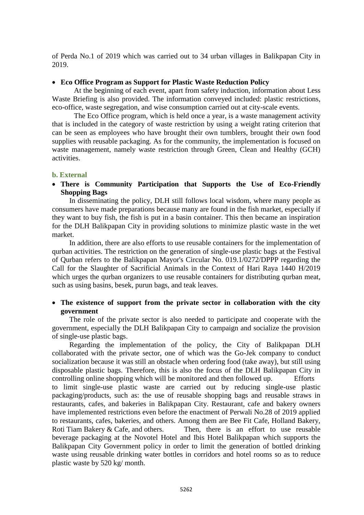of Perda No.1 of 2019 which was carried out to 34 urban villages in Balikpapan City in 2019.

## **Eco Office Program as Support for Plastic Waste Reduction Policy**

At the beginning of each event, apart from safety induction, information about Less Waste Briefing is also provided. The information conveyed included: plastic restrictions, eco-office, waste segregation, and wise consumption carried out at city-scale events.

The Eco Office program, which is held once a year, is a waste management activity that is included in the category of waste restriction by using a weight rating criterion that can be seen as employees who have brought their own tumblers, brought their own food supplies with reusable packaging. As for the community, the implementation is focused on waste management, namely waste restriction through Green, Clean and Healthy (GCH) activities.

## **b. External**

 **There is Community Participation that Supports the Use of Eco-Friendly Shopping Bags**

In disseminating the policy, DLH still follows local wisdom, where many people as consumers have made preparations because many are found in the fish market, especially if they want to buy fish, the fish is put in a basin container. This then became an inspiration for the DLH Balikpapan City in providing solutions to minimize plastic waste in the wet market.

In addition, there are also efforts to use reusable containers for the implementation of qurban activities. The restriction on the generation of single-use plastic bags at the Festival of Qurban refers to the Balikpapan Mayor's Circular No. 019.1/0272/DPPP regarding the Call for the Slaughter of Sacrificial Animals in the Context of Hari Raya 1440 H/2019 which urges the qurban organizers to use reusable containers for distributing qurban meat, such as using basins, besek, purun bags, and teak leaves.

## **The existence of support from the private sector in collaboration with the city government**

The role of the private sector is also needed to participate and cooperate with the government, especially the DLH Balikpapan City to campaign and socialize the provision of single-use plastic bags.

Regarding the implementation of the policy, the City of Balikpapan DLH collaborated with the private sector, one of which was the Go-Jek company to conduct socialization because it was still an obstacle when ordering food (take away), but still using disposable plastic bags. Therefore, this is also the focus of the DLH Balikpapan City in controlling online shopping which will be monitored and then followed up. Efforts to limit single-use plastic waste are carried out by reducing single-use plastic packaging/products, such as: the use of reusable shopping bags and reusable straws in restaurants, cafes, and bakeries in Balikpapan City. Restaurant, cafe and bakery owners have implemented restrictions even before the enactment of Perwali No.28 of 2019 applied to restaurants, cafes, bakeries, and others. Among them are Bee Fit Cafe, Holland Bakery, Roti Tiam Bakery & Cafe, and others. Then, there is an effort to use reusable beverage packaging at the Novotel Hotel and Ibis Hotel Balikpapan which supports the Balikpapan City Government policy in order to limit the generation of bottled drinking waste using reusable drinking water bottles in corridors and hotel rooms so as to reduce plastic waste by 520 kg/ month.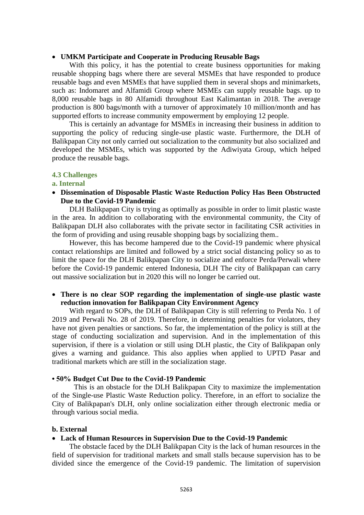#### **UMKM Participate and Cooperate in Producing Reusable Bags**

With this policy, it has the potential to create business opportunities for making reusable shopping bags where there are several MSMEs that have responded to produce reusable bags and even MSMEs that have supplied them in several shops and minimarkets, such as: Indomaret and Alfamidi Group where MSMEs can supply reusable bags. up to 8,000 reusable bags in 80 Alfamidi throughout East Kalimantan in 2018. The average production is 800 bags/month with a turnover of approximately 10 million/month and has supported efforts to increase community empowerment by employing 12 people.

This is certainly an advantage for MSMEs in increasing their business in addition to supporting the policy of reducing single-use plastic waste. Furthermore, the DLH of Balikpapan City not only carried out socialization to the community but also socialized and developed the MSMEs, which was supported by the Adiwiyata Group, which helped produce the reusable bags.

#### **4.3 Challenges**

#### **a. Internal**

 **Dissemination of Disposable Plastic Waste Reduction Policy Has Been Obstructed Due to the Covid-19 Pandemic**

DLH Balikpapan City is trying as optimally as possible in order to limit plastic waste in the area. In addition to collaborating with the environmental community, the City of Balikpapan DLH also collaborates with the private sector in facilitating CSR activities in the form of providing and using reusable shopping bags by socializing them..

However, this has become hampered due to the Covid-19 pandemic where physical contact relationships are limited and followed by a strict social distancing policy so as to limit the space for the DLH Balikpapan City to socialize and enforce Perda/Perwali where before the Covid-19 pandemic entered Indonesia, DLH The city of Balikpapan can carry out massive socialization but in 2020 this will no longer be carried out.

## **There is no clear SOP regarding the implementation of single-use plastic waste reduction innovation for Balikpapan City Environment Agency**

With regard to SOPs, the DLH of Balikpapan City is still referring to Perda No. 1 of 2019 and Perwali No. 28 of 2019. Therefore, in determining penalties for violators, they have not given penalties or sanctions. So far, the implementation of the policy is still at the stage of conducting socialization and supervision. And in the implementation of this supervision, if there is a violation or still using DLH plastic, the City of Balikpapan only gives a warning and guidance. This also applies when applied to UPTD Pasar and traditional markets which are still in the socialization stage.

#### **• 50% Budget Cut Due to the Covid-19 Pandemic**

This is an obstacle for the DLH Balikpapan City to maximize the implementation of the Single-use Plastic Waste Reduction policy. Therefore, in an effort to socialize the City of Balikpapan's DLH, only online socialization either through electronic media or through various social media.

#### **b. External**

#### **Lack of Human Resources in Supervision Due to the Covid-19 Pandemic**

The obstacle faced by the DLH Balikpapan City is the lack of human resources in the field of supervision for traditional markets and small stalls because supervision has to be divided since the emergence of the Covid-19 pandemic. The limitation of supervision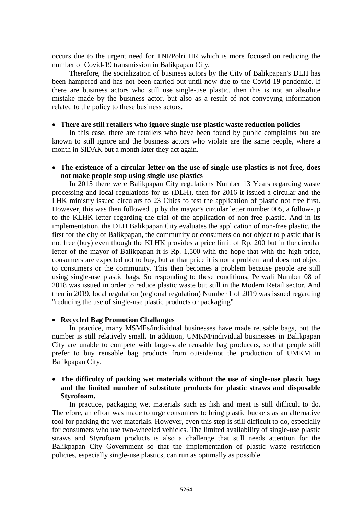occurs due to the urgent need for TNI/Polri HR which is more focused on reducing the number of Covid-19 transmission in Balikpapan City.

Therefore, the socialization of business actors by the City of Balikpapan's DLH has been hampered and has not been carried out until now due to the Covid-19 pandemic. If there are business actors who still use single-use plastic, then this is not an absolute mistake made by the business actor, but also as a result of not conveying information related to the policy to these business actors.

#### **There are still retailers who ignore single-use plastic waste reduction policies**

In this case, there are retailers who have been found by public complaints but are known to still ignore and the business actors who violate are the same people, where a month in SIDAK but a month later they act again.

#### **The existence of a circular letter on the use of single-use plastics is not free, does not make people stop using single-use plastics**

In 2015 there were Balikpapan City regulations Number 13 Years regarding waste processing and local regulations for us (DLH), then for 2016 it issued a circular and the LHK ministry issued circulars to 23 Cities to test the application of plastic not free first. However, this was then followed up by the mayor's circular letter number 005, a follow-up to the KLHK letter regarding the trial of the application of non-free plastic. And in its implementation, the DLH Balikpapan City evaluates the application of non-free plastic, the first for the city of Balikpapan, the community or consumers do not object to plastic that is not free (buy) even though the KLHK provides a price limit of Rp. 200 but in the circular letter of the mayor of Balikpapan it is Rp. 1,500 with the hope that with the high price, consumers are expected not to buy, but at that price it is not a problem and does not object to consumers or the community. This then becomes a problem because people are still using single-use plastic bags. So responding to these conditions, Perwali Number 08 of 2018 was issued in order to reduce plastic waste but still in the Modern Retail sector. And then in 2019, local regulation (regional regulation) Number 1 of 2019 was issued regarding "reducing the use of single-use plastic products or packaging"

#### **Recycled Bag Promotion Challanges**

In practice, many MSMEs/individual businesses have made reusable bags, but the number is still relatively small. In addition, UMKM/individual businesses in Balikpapan City are unable to compete with large-scale reusable bag producers, so that people still prefer to buy reusable bag products from outside/not the production of UMKM in Balikpapan City.

## **The difficulty of packing wet materials without the use of single-use plastic bags and the limited number of substitute products for plastic straws and disposable Styrofoam.**

In practice, packaging wet materials such as fish and meat is still difficult to do. Therefore, an effort was made to urge consumers to bring plastic buckets as an alternative tool for packing the wet materials. However, even this step is still difficult to do, especially for consumers who use two-wheeled vehicles. The limited availability of single-use plastic straws and Styrofoam products is also a challenge that still needs attention for the Balikpapan City Government so that the implementation of plastic waste restriction policies, especially single-use plastics, can run as optimally as possible.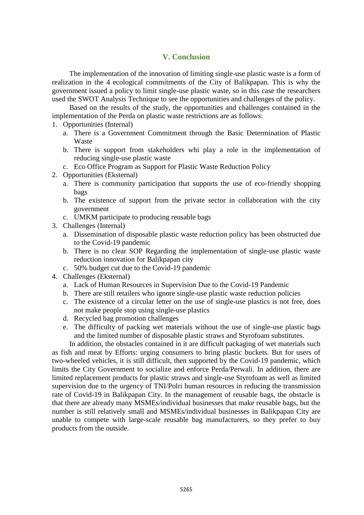## **V. Conclusion**

The implementation of the innovation of limiting single-use plastic waste is a form of realization in the 4 ecological commitments of the City of Balikpapan. This is why the government issued a policy to limit single-use plastic waste, so in this case the researchers used the SWOT Analysis Technique to see the opportunities and challenges of the policy.

Based on the results of the study, the opportunities and challenges contained in the implementation of the Perda on plastic waste restrictions are as follows:

- 1. Opportunities (Internal)
	- a. There is a Government Commitment through the Basic Determination of Plastic Waste
	- b. There is support from stakeholders whi play a role in the implementation of reducing single-use plastic waste
	- c. Eco Office Program as Support for Plastic Waste Reduction Policy
- 2. Opportunities (Eksternal)
	- a. There is community participation that supports the use of eco-friendly shopping bags
	- b. The existence of support from the private sector in collaboration with the city government
	- c. UMKM participate to producing reusable bags
- 3. Challenges (Internal)
	- a. Dissemination of disposable plastic waste reduction policy has been obstructed due to the Covid-19 pandemic
	- b. There is no clear SOP Regarding the implementation of single-use plastic waste reduction innovation for Balikpapan city
	- c. 50% budget cut due to the Covid-19 pandemic
- 4. Challenges (Eksternal)
	- a. Lack of Human Resources in Supervision Due to the Covid-19 Pandemic
	- b. There are still retailers who ignore single-use plastic waste reduction policies
	- c. The existence of a circular letter on the use of single-use plastics is not free, does not make people stop using single-use plastics
	- d. Recycled bag promotion challenges
	- e. The difficulty of packing wet materials without the use of single-use plastic bags and the limited number of disposable plastic straws and Styrofoam substitutes.

In addition, the obstacles contained in it are difficult packaging of wet materials such as fish and meat by Efforts: urging consumers to bring plastic buckets. But for users of two-wheeled vehicles, it is still difficult, then supported by the Covid-19 pandemic, which limits the City Government to socialize and enforce Perda/Perwali. In addition, there are limited replacement products for plastic straws and single-use Styrofoam as well as limited supervision due to the urgency of TNI/Polri human resources in reducing the transmission rate of Covid-19 in Balikpapan City. In the management of reusable bags, the obstacle is that there are already many MSMEs/individual businesses that make reusable bags, but the number is still relatively small and MSMEs/individual businesses in Balikpapan City are unable to compete with large-scale reusable bag manufacturers, so they prefer to buy products from the outside.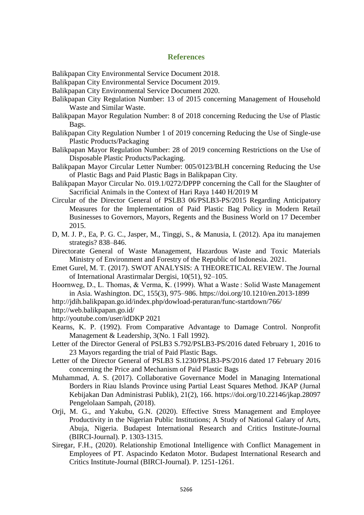## **References**

Balikpapan City Environmental Service Document 2018.

- Balikpapan City Environmental Service Document 2019.
- Balikpapan City Environmental Service Document 2020.
- Balikpapan City Regulation Number: 13 of 2015 concerning Management of Household Waste and Similar Waste.
- Balikpapan Mayor Regulation Number: 8 of 2018 concerning Reducing the Use of Plastic Bags.
- Balikpapan City Regulation Number 1 of 2019 concerning Reducing the Use of Single-use Plastic Products/Packaging
- Balikpapan Mayor Regulation Number: 28 of 2019 concerning Restrictions on the Use of Disposable Plastic Products/Packaging.
- Balikpapan Mayor Circular Letter Number: 005/0123/BLH concerning Reducing the Use of Plastic Bags and Paid Plastic Bags in Balikpapan City.
- Balikpapan Mayor Circular No. 019.1/0272/DPPP concerning the Call for the Slaughter of Sacrificial Animals in the Context of Hari Raya 1440 H/2019 M
- Circular of the Director General of PSLB3 06/PSLB3-PS/2015 Regarding Anticipatory Measures for the Implementation of Paid Plastic Bag Policy in Modern Retail Businesses to Governors, Mayors, Regents and the Business World on 17 December 2015.
- D, M. J. P., Ea, P. G. C., Jasper, M., Tinggi, S., & Manusia, I. (2012). Apa itu manajemen strategis? 838–846.
- Directorate General of Waste Management, Hazardous Waste and Toxic Materials Ministry of Environment and Forestry of the Republic of Indonesia. 2021.
- Emet Gurel, M. T. (2017). SWOT ANALYSIS: A THEORETICAL REVIEW. The Journal of International Arastirmalar Dergisi, 10(51), 92–105.
- Hoornweg, D., L. Thomas, & Verma, K. (1999). What a Waste : Solid Waste Management in Asia. Washington. DC, 155(3), 975–986. https://doi.org/10.1210/en.2013-1899
- http://jdih.balikpapan.go.id/index.php/dowload-peraturan/func-startdown/766/
- http://web.balikpapan.go.id/
- http://youtube.com/user/idDKP 2021
- Kearns, K. P. (1992). From Comparative Advantage to Damage Control. Nonprofit Management & Leadership, 3(No. 1 Fall 1992).
- Letter of the Director General of PSLB3 S.792/PSLB3-PS/2016 dated February 1, 2016 to 23 Mayors regarding the trial of Paid Plastic Bags.
- Letter of the Director General of PSLB3 S.1230/PSLB3-PS/2016 dated 17 February 2016 concerning the Price and Mechanism of Paid Plastic Bags
- Muhammad, A. S. (2017). Collaborative Governance Model in Managing International Borders in Riau Islands Province using Partial Least Squares Method. JKAP (Jurnal Kebijakan Dan Administrasi Publik), 21(2), 166. https://doi.org/10.22146/jkap.28097 Pengelolaan Sampah, (2018).
- Orji, M. G., and Yakubu, G.N. (2020). Effective Stress Management and Employee Productivity in the Nigerian Public Institutions; A Study of National Galary of Arts, Abuja, Nigeria. Budapest International Research and Critics Institute-Journal (BIRCI-Journal). P. 1303-1315.
- Siregar, F.H., (2020). Relationship Emotional Intelligence with Conflict Management in Employees of PT. Aspacindo Kedaton Motor. Budapest International Research and Critics Institute-Journal (BIRCI-Journal). P. 1251-1261.